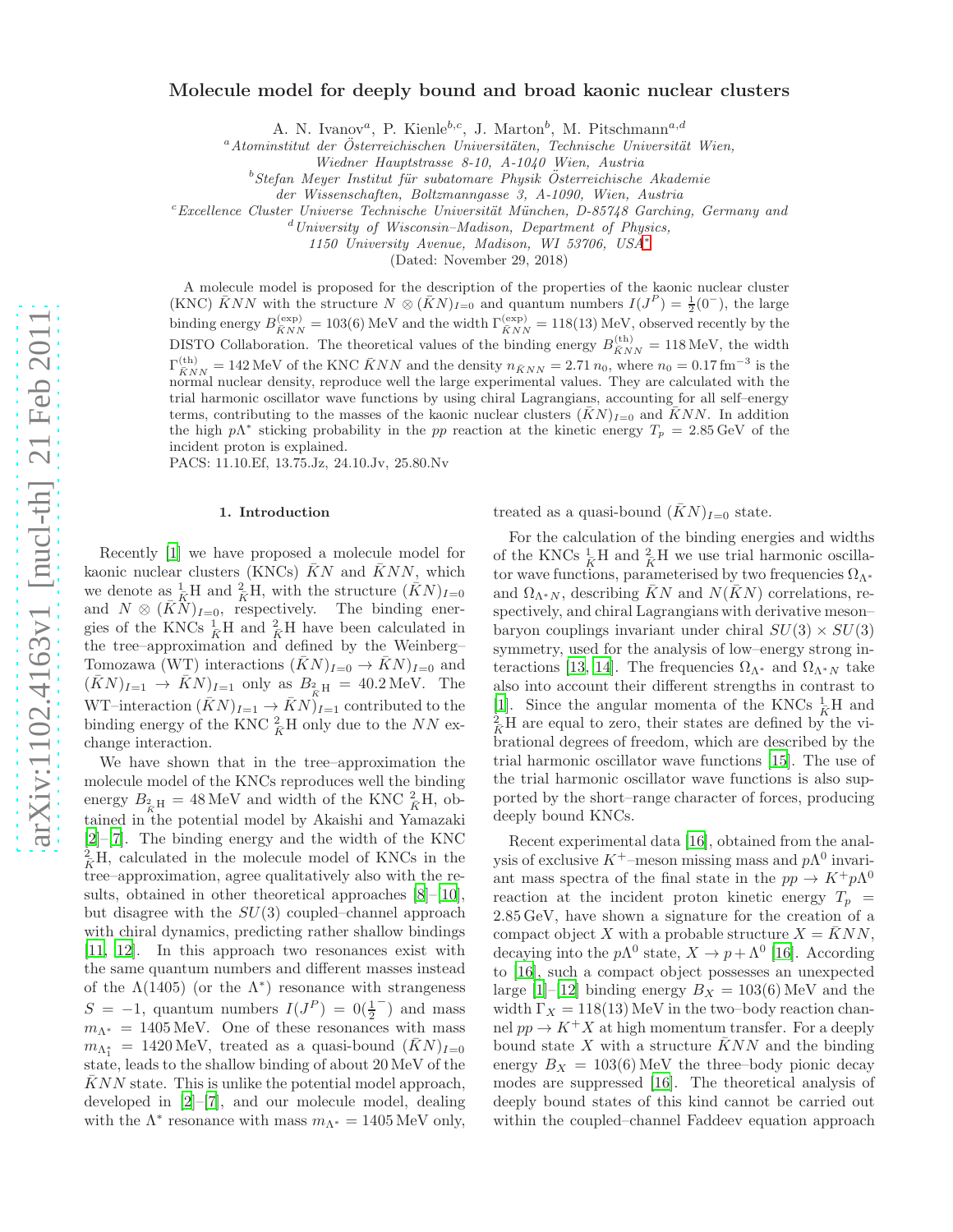## Molecule model for deeply bound and broad kaonic nuclear clusters

A. N. Ivanov<sup>a</sup>, P. Kienle<sup>b,c</sup>, J. Marton<sup>b</sup>, M. Pitschmann<sup>a,d</sup>

 $a^a$ Atominstitut der Österreichischen Universitäten, Technische Universität Wien,

Wiedner Hauptstrasse 8-10, A-1040 Wien, Austria

 $b$ Stefan Meyer Institut für subatomare Physik Österreichische Akademie

der Wissenschaften, Boltzmanngasse 3, A-1090, Wien, Austria

 $c$ Excellence Cluster Universe Technische Universität München, D-85748 Garching, Germany and

 $d$ University of Wisconsin–Madison, Department of Physics,

1150 University Avenue, Madison, WI 53706, USA[∗](#page-3-0)

(Dated: November 29, 2018)

A molecule model is proposed for the description of the properties of the kaonic nuclear cluster (KNC)  $\bar{K}NN$  with the structure  $N \otimes (\bar{K}N)_{I=0}$  and quantum numbers  $I(J^P) = \frac{1}{2}(0^-)$ , the large binding energy  $B_{\overline{KNN}}^{(\text{exp})} = 103(6)$  MeV and the width  $\Gamma_{\overline{KNN}}^{(\text{exp})} = 118(13)$  MeV, observed recently by the DISTO Collaboration. The theoretical values of the binding energy  $B_{\bar{K}NN}^{(\text{th})} = 118 \text{ MeV}$ , the width  $\Gamma^{(\text{th})}_{\bar{K}NN} = 142 \text{ MeV}$  of the KNC  $\bar{K}NN$  and the density  $n_{\bar{K}NN} = 2.71 n_0$ , where  $n_0 = 0.17 \text{ fm}^{-3}$  is the normal nuclear density, reproduce well the large experimental values. They are calculated with the trial harmonic oscillator wave functions by using chiral Lagrangians, accounting for all self–energy terms, contributing to the masses of the kaonic nuclear clusters  $(KN)_{I=0}$  and  $\bar{K}NN$ . In addition the high  $p\Lambda^*$  sticking probability in the pp reaction at the kinetic energy  $T_p = 2.85 \,\text{GeV}$  of the incident proton is explained.

PACS: 11.10.Ef, 13.75.Jz, 24.10.Jv, 25.80.Nv

### 1. Introduction

Recently [\[1\]](#page-3-1) we have proposed a molecule model for kaonic nuclear clusters (KNCs)  $\bar{K}N$  and  $\bar{K}NN$ , which we denote as  $\frac{1}{\bar{K}}H$  and  $\frac{2}{\bar{K}}H$ , with the structure  $(\bar{K}N)_{I=0}$ and  $N \otimes (\bar{K}N)_{I=0}$ , respectively. The binding energies of the KNCs  $\frac{1}{K}H$  and  $\frac{2}{K}H$  have been calculated in the tree–approximation and defined by the Weinberg– Tomozawa (WT) interactions  $(\bar{K}N)_{I=0} \to \bar{K}N$   $_{I=0}$  and  $(\bar{K}N)_{I=1} \rightarrow \bar{K}N)_{I=1}$  only as  $B_{2\over \bar{K}}_{\rm H} = 40.2 \,\text{MeV}$ . The WT–interaction  $(\bar{K}N)_{I=1} \to \bar{K}N$ <sup> $*$ </sup><sub> $I=1$ </sub> contributed to the binding energy of the KNC  ${}^{2}_{\bar{K}}$ H only due to the NN exchange interaction.

We have shown that in the tree–approximation the molecule model of the KNCs reproduces well the binding energy  $B_{\frac{2}{K}H} = 48 \,\text{MeV}$  and width of the KNC  $\frac{2}{K}H$ , obtained in the potential model by Akaishi and Yamazaki [\[2\]](#page-3-2)–[\[7](#page-3-3)]. The binding energy and the width of the KNC  ${}_{\bar{K}}^{2}$ H, calculated in the molecule model of KNCs in the tree–approximation, agree qualitatively also with the results, obtained in other theoretical approaches [\[8](#page-3-4)]–[\[10\]](#page-3-5), but disagree with the  $SU(3)$  coupled–channel approach with chiral dynamics, predicting rather shallow bindings [\[11,](#page-3-6) [12\]](#page-3-7). In this approach two resonances exist with the same quantum numbers and different masses instead of the  $\Lambda(1405)$  (or the  $\Lambda^*$ ) resonance with strangeness  $S = -1$ , quantum numbers  $I(J<sup>P</sup>) = 0(\frac{1}{2})$ − ) and mass  $m_{\Lambda^*} = 1405 \,\text{MeV}$ . One of these resonances with mass  $m_{\Lambda_1^*}$  = 1420 MeV, treated as a quasi-bound  $(\bar{K}N)_{I=0}$ state, leads to the shallow binding of about 20 MeV of the  $KNN$  state. This is unlike the potential model approach, developed in [\[2](#page-3-2)]–[\[7\]](#page-3-3), and our molecule model, dealing with the  $\Lambda^*$  resonance with mass  $m_{\Lambda^*} = 1405 \,\text{MeV}$  only,

treated as a quasi-bound  $(\bar{K}N)_{I=0}$  state.

For the calculation of the binding energies and widths of the KNCs  $\frac{1}{K}$ H and  $\frac{2}{K}$ H we use trial harmonic oscillator wave functions, parameterised by two frequencies  $\Omega_{\Lambda^*}$ and  $\Omega_{\Lambda^*N}$ , describing KN and  $N(KN)$  correlations, respectively, and chiral Lagrangians with derivative meson– baryon couplings invariant under chiral  $SU(3) \times SU(3)$ symmetry, used for the analysis of low–energy strong in-teractions [\[13](#page-3-8), [14\]](#page-3-9). The frequencies  $\Omega_{\Lambda^*}$  and  $\Omega_{\Lambda^*N}$  take also into account their different strengths in contrast to [\[1\]](#page-3-1). Since the angular momenta of the KNCs  $\frac{1}{\bar{K}}H$  and  $\frac{2}{K}$ H are equal to zero, their states are defined by the vibrational degrees of freedom, which are described by the trial harmonic oscillator wave functions [\[15\]](#page-3-10). The use of the trial harmonic oscillator wave functions is also supported by the short–range character of forces, producing deeply bound KNCs.

Recent experimental data [\[16\]](#page-3-11), obtained from the analysis of exclusive  $K^+$ –meson missing mass and  $p\Lambda^0$  invariant mass spectra of the final state in the  $pp \to K^+ p\Lambda^0$ reaction at the incident proton kinetic energy  $T_p =$ 2.85 GeV, have shown a signature for the creation of a compact object X with a probable structure  $X = \overline{K}NN$ , decaying into the  $p\Lambda^0$  state,  $X \to p + \Lambda^0$  [\[16](#page-3-11)]. According to [\[16\]](#page-3-11), such a compact object possesses an unexpected large [\[1\]](#page-3-1)–[\[12\]](#page-3-7) binding energy  $B_X = 103(6)$  MeV and the width  $\Gamma_X = 118(13)$  MeV in the two–body reaction channel  $pp \to K^+ X$  at high momentum transfer. For a deeply bound state X with a structure  $\bar{K}NN$  and the binding energy  $B_X = 103(6)$  MeV the three–body pionic decay modes are suppressed [\[16\]](#page-3-11). The theoretical analysis of deeply bound states of this kind cannot be carried out within the coupled–channel Faddeev equation approach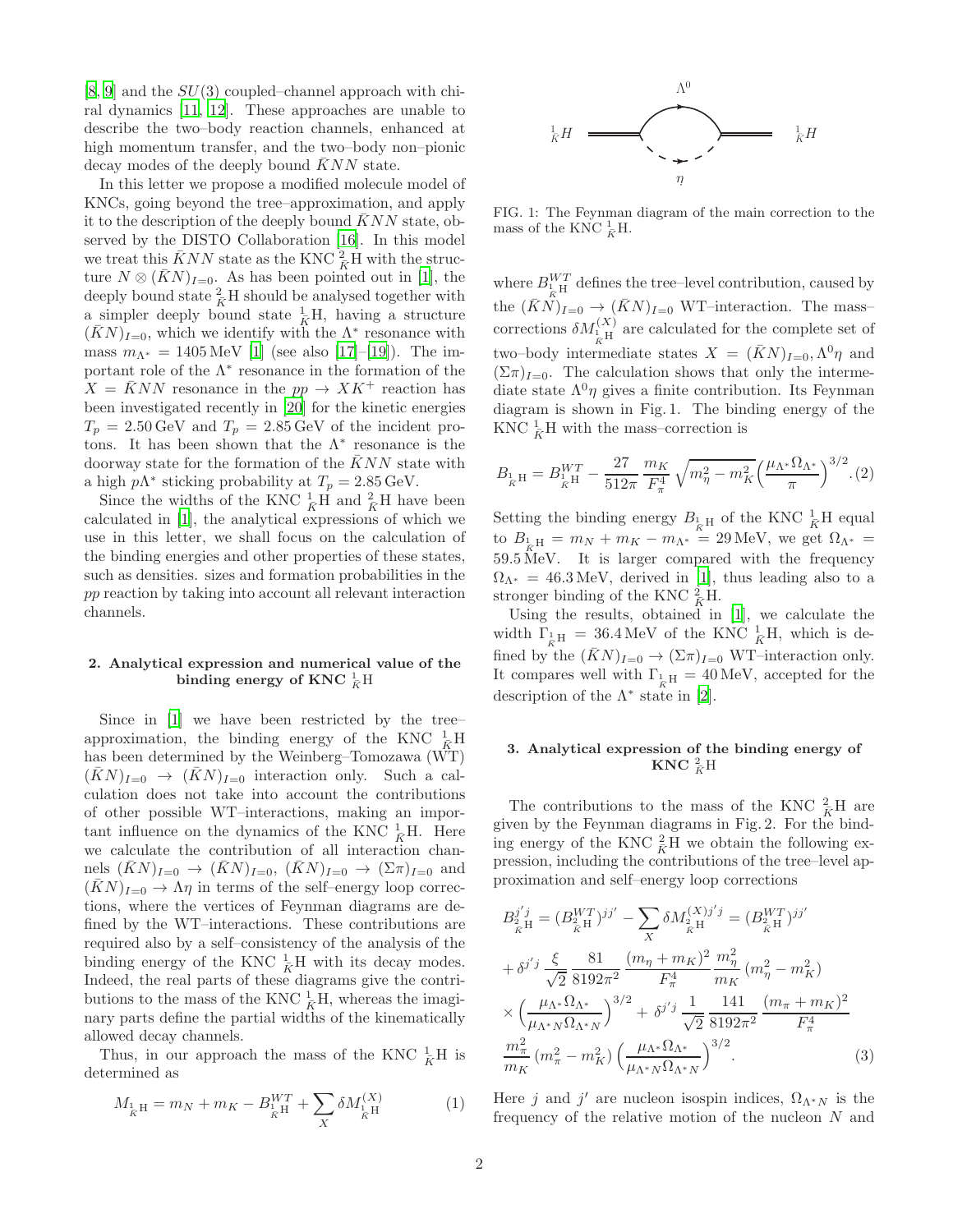$[8, 9]$  $[8, 9]$  $[8, 9]$  and the  $SU(3)$  coupled–channel approach with chiral dynamics [\[11,](#page-3-6) [12\]](#page-3-7). These approaches are unable to describe the two–body reaction channels, enhanced at high momentum transfer, and the two–body non–pionic decay modes of the deeply bound  $\bar{K}NN$  state.

In this letter we propose a modified molecule model of KNCs, going beyond the tree–approximation, and apply it to the description of the deeply bound  $\bar{K}NN$  state, observed by the DISTO Collaboration [\[16\]](#page-3-11). In this model we treat this  $\bar{K}NN$  state as the KNC  $_R^2$ H with the structure  $N \otimes (\bar{K}N)_{I=0}$ . As has been pointed out in [\[1](#page-3-1)], the deeply bound state  $\frac{2}{K}H$  should be analysed together with a simpler deeply bound state  $\frac{1}{K}H$ , having a structure  $(\bar{K}N)_{I=0}$ , which we identify with the  $\Lambda^*$  resonance with mass  $m_{\Lambda^*} = 1405 \,\text{MeV}$  [\[1](#page-3-1)] (see also [\[17\]](#page-3-13)–[\[19](#page-3-14)]). The important role of the  $\Lambda^*$  resonance in the formation of the  $X = KNN$  resonance in the  $pp \rightarrow XK^+$  reaction has been investigated recently in [\[20](#page-3-15)] for the kinetic energies  $T_p = 2.50 \,\text{GeV}$  and  $T_p = 2.85 \,\text{GeV}$  of the incident protons. It has been shown that the  $\Lambda^*$  resonance is the doorway state for the formation of the  $KNN$  state with a high  $p\Lambda^*$  sticking probability at  $T_p = 2.85 \,\text{GeV}$ .

Since the widths of the KNC  $\frac{1}{K}$ H and  $\frac{2}{K}$ H have been calculated in [\[1](#page-3-1)], the analytical expressions of which we use in this letter, we shall focus on the calculation of the binding energies and other properties of these states, such as densities. sizes and formation probabilities in the pp reaction by taking into account all relevant interaction channels.

# 2. Analytical expression and numerical value of the binding energy of  $\mathrm{KNC}\ \mathop{\bar{\mathbb K}}\limits^1 \mathrm{H}$

Since in [\[1\]](#page-3-1) we have been restricted by the tree– approximation, the binding energy of the KNC  $\frac{1}{\tilde{K}}$ H has been determined by the Weinberg–Tomozawa (WT)  $(KN)_{I=0} \rightarrow (KN)_{I=0}$  interaction only. Such a calculation does not take into account the contributions of other possible WT–interactions, making an important influence on the dynamics of the KNC  $\frac{1}{\bar{K}}$ H. Here we calculate the contribution of all interaction channels  $(KN)_{I=0} \rightarrow (KN)_{I=0}$ ,  $(KN)_{I=0} \rightarrow (\Sigma \pi)_{I=0}$  and  $(KN)_{I=0} \rightarrow \Lambda \eta$  in terms of the self-energy loop corrections, where the vertices of Feynman diagrams are defined by the WT–interactions. These contributions are required also by a self–consistency of the analysis of the binding energy of the KNC  $\frac{1}{K}$ H with its decay modes. Indeed, the real parts of these diagrams give the contributions to the mass of the KNC  $\frac{1}{K}H$ , whereas the imaginary parts define the partial widths of the kinematically allowed decay channels.

Thus, in our approach the mass of the KNC  $\frac{1}{K}H$  is determined as

$$
M_{\frac{1}{K}H} = m_N + m_K - B_{\frac{1}{K}H}^{WT} + \sum_{X} \delta M_{\frac{1}{K}H}^{(X)} \tag{1}
$$



FIG. 1: The Feynman diagram of the main correction to the mass of the KNC  $\frac{1}{K}H$ .

where  $B_{\frac{1}{K}H}^{WT}$  defines the tree–level contribution, caused by the  $(\bar{K}N)_{I=0} \rightarrow (\bar{K}N)_{I=0}$  WT–interaction. The mass– corrections  $\delta M_{\frac{1}{K}H}^{(X)}$  are calculated for the complete set of two–body intermediate states  $X = (\bar{K}N)_{I=0}, \Lambda^0 \eta$  and  $(\Sigma \pi)_{I=0}$ . The calculation shows that only the intermediate state  $\Lambda^{0}\eta$  gives a finite contribution. Its Feynman diagram is shown in Fig. 1. The binding energy of the KNC  $\frac{1}{K}$ H with the mass–correction is

$$
B_{\frac{1}{K}H} = B_{\frac{1}{K}H}^{WT} - \frac{27}{512\pi} \frac{m_K}{F_{\pi}^4} \sqrt{m_{\eta}^2 - m_K^2} \left(\frac{\mu_{\Lambda^*} \Omega_{\Lambda^*}}{\pi}\right)^{3/2} . (2)
$$

Setting the binding energy  $B_{\frac{1}{K}H}$  of the KNC  $\frac{1}{K}H$  equal to  $B_{\frac{1}{K}H} = m_N + m_K - m_{\Lambda^*} = 29 \,\text{MeV}$ , we get  $\Omega_{\Lambda^*} =$ 59.5 MeV. It is larger compared with the frequency  $\Omega_{\Lambda^*} = 46.3 \,\text{MeV}$ , derived in [\[1\]](#page-3-1), thus leading also to a stronger binding of the KNC  $^2_{\overline{K}}$ H.

Using the results, obtained in [\[1\]](#page-3-1), we calculate the width  $\Gamma_{\!\!\stackrel{\phantom{.}}{K}\!\!H}$  = 36.4 MeV of the KNC  $\frac{1}{\bar{K}}H$ , which is defined by the  $(KN)_{I=0} \rightarrow (\Sigma \pi)_{I=0}$  WT–interaction only. It compares well with  $\Gamma_{\frac{1}{K}H} = 40 \text{ MeV}$ , accepted for the description of the  $\Lambda^*$  state in [\[2](#page-3-2)].

# 3. Analytical expression of the binding energy of  $\mathbf{KNC}\ \frac{2}{\bar{K}}\mathrm{H}$

The contributions to the mass of the KNC  $\frac{2}{K}H$  are given by the Feynman diagrams in Fig. 2. For the binding energy of the KNC  $^2_K$ H we obtain the following expression, including the contributions of the tree–level approximation and self–energy loop corrections

<span id="page-1-0"></span>
$$
B_{\tilde{K}}^{j'j} = (B_{\tilde{K}}^{WT})^{jj'} - \sum_{X} \delta M_{\tilde{K}}^{(X)j'j} = (B_{\tilde{K}}^{WT})^{jj'}
$$
  
+  $\delta^{j'j} \frac{\xi}{\sqrt{2}} \frac{81}{8192\pi^2} \frac{(m_{\eta} + m_{K})^2}{F_{\pi}^4} \frac{m_{\eta}^2}{m_{K}} (m_{\eta}^2 - m_{K}^2)$   
 $\times \left(\frac{\mu_{\Lambda^*} \Omega_{\Lambda^*}}{\mu_{\Lambda^* N} \Omega_{\Lambda^* N}}\right)^{3/2} + \delta^{j'j} \frac{1}{\sqrt{2}} \frac{141}{8192\pi^2} \frac{(m_{\pi} + m_{K})^2}{F_{\pi}^4}$   
 $\frac{m_{\pi}^2}{m_{K}} (m_{\pi}^2 - m_{K}^2) \left(\frac{\mu_{\Lambda^*} \Omega_{\Lambda^*}}{\mu_{\Lambda^* N} \Omega_{\Lambda^* N}}\right)^{3/2}.$  (3)

Here j and j' are nucleon isospin indices,  $\Omega_{\Lambda^* N}$  is the frequency of the relative motion of the nucleon N and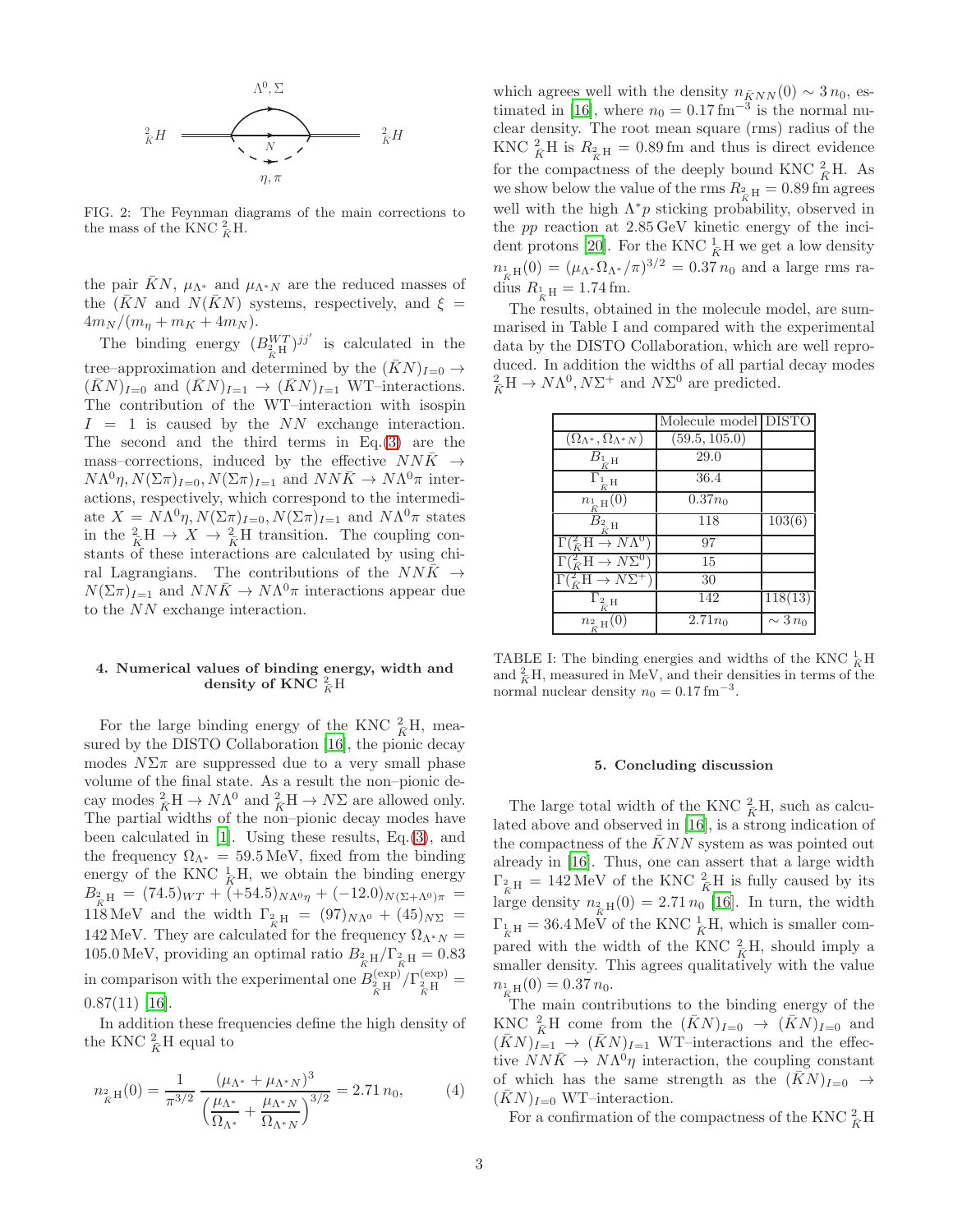

FIG. 2: The Feynman diagrams of the main corrections to the mass of the KNC  $\frac{2}{\bar{K}}H$ .

the pair KN,  $\mu_{\Lambda^*}$  and  $\mu_{\Lambda^*N}$  are the reduced masses of the  $(\bar{K}N$  and  $N(\bar{K}N)$  systems, respectively, and  $\xi =$  $4m_N/(m_{\eta} + m_K + 4m_N).$ 

The binding energy  $(B_{\substack{X \ R}}^{WT})^{jj'}$  is calculated in the tree–approximation and determined by the  $(KN)_{I=0} \rightarrow$  $(KN)_{I=0}$  and  $(KN)_{I=1} \rightarrow (KN)_{I=1}$  WT–interactions. The contribution of the WT–interaction with isospin  $I = 1$  is caused by the NN exchange interaction. The second and the third terms in Eq.[\(3\)](#page-1-0) are the mass–corrections, induced by the effective  $NN\bar{K} \rightarrow$  $N\Lambda^0\eta, N(\Sigma \pi)_{I=0}, N(\Sigma \pi)_{I=1}$  and  $NN\bar{K} \to N\Lambda^0\pi$  interactions, respectively, which correspond to the intermediate  $X = N\Lambda^{0}\eta, N(\Sigma \pi)_{I=0}, N(\Sigma \pi)_{I=1}$  and  $N\Lambda^{0}\pi$  states in the  ${}_{\tilde{K}}^2 H \rightarrow X \rightarrow {}_{\tilde{K}}^2 H$  transition. The coupling constants of these interactions are calculated by using chiral Lagrangians. The contributions of the  $NN\bar{K} \rightarrow$  $N(\Sigma \pi)_{I=1}$  and  $NN\bar{K} \to N\Lambda^0 \pi$  interactions appear due to the NN exchange interaction.

## 4. Numerical values of binding energy, width and density of KNC  $^2_{\bar{K}}$ H

For the large binding energy of the KNC  $_{\bar{K}}^2$ H, measured by the DISTO Collaboration [\[16\]](#page-3-11), the pionic decay modes  $N\Sigma\pi$  are suppressed due to a very small phase volume of the final state. As a result the non–pionic decay modes  ${}^2_KH \to N\Lambda^0$  and  ${}^2_KH \to N\Sigma$  are allowed only. The partial widths of the non–pionic decay modes have been calculated in [\[1](#page-3-1)]. Using these results, Eq.[\(3\)](#page-1-0), and the frequency  $\Omega_{\Lambda^*} = 59.5 \,\text{MeV}$ , fixed from the binding energy of the KNC  $\frac{1}{\bar{K}}H$ , we obtain the binding energy  $B_{\frac{2}{K}H} = (74.5)_{WT} + (+54.5)_{N\Lambda^{0}\eta} + (-12.0)_{N(\Sigma+\Lambda^{0})\pi} =$ 118 MeV and the width  $\Gamma_{2H} = (97)_{N\Lambda^0} + (45)_{N\Sigma} =$ 142 MeV. They are calculated for the frequency  $\Omega_{\Lambda^*N} =$ 105.0 MeV, providing an optimal ratio  $B_{\tilde{\kappa}^H} / \Gamma_{\tilde{\kappa}^H} = 0.83$ in comparison with the experimental one  $B_{\hat{\chi}_{\text{H}}\text{H}}^{\text{(exp)}}/\Gamma_{\hat{\chi}_{\text{H}}\text{H}}^{\text{(exp)}} =$  $0.87(11)$  [\[16\]](#page-3-11).

In addition these frequencies define the high density of the KNC  $\frac{2}{\bar{K}}H$  equal to

$$
n_{\frac{2}{K}\mathcal{H}}(0) = \frac{1}{\pi^{3/2}} \frac{(\mu_{\Lambda^*} + \mu_{\Lambda^* N})^3}{\left(\frac{\mu_{\Lambda^*}}{\Omega_{\Lambda^*}} + \frac{\mu_{\Lambda^* N}}{\Omega_{\Lambda^* N}}\right)^{3/2}} = 2.71 n_0,
$$
 (4)

which agrees well with the density  $n_{\bar{K}NN}(0) \sim 3 n_0$ , es-timated in [\[16\]](#page-3-11), where  $n_0 = 0.17$  fm<sup>-3</sup> is the normal nuclear density. The root mean square (rms) radius of the KNC  ${}_{\tilde{K}}^2$ H is  $R_{\tilde{K}_{\tilde{K}}H} = 0.89$  fm and thus is direct evidence for the compactness of the deeply bound KNC  $_R^2$ H. As we show below the value of the rms  $R_{2\rm g\,H} = 0.89\,\rm fm$  agrees well with the high  $\Lambda^* p$  sticking probability, observed in the pp reaction at 2.85 GeV kinetic energy of the inci-dent protons [\[20\]](#page-3-15). For the KNC  $\frac{1}{K}$ H we get a low density  $n_{\frac{1}{\kappa}H}(0) = (\mu_{\Lambda^*} \Omega_{\Lambda^*}/\pi)^{3/2} = 0.37 n_0$  and a large rms radius  $R_{\frac{1}{\bar{K}}H} = 1.74 \,\text{fm}$ .

The results, obtained in the molecule model, are summarised in Table I and compared with the experimental data by the DISTO Collaboration, which are well reproduced. In addition the widths of all partial decay modes  ${}_{\bar{K}}^{2}H \rightarrow N\Lambda^{0}, N\Sigma^{+}$  and  $N\Sigma^{0}$  are predicted.

|                                              | Molecule model DISTO |                      |
|----------------------------------------------|----------------------|----------------------|
| $(\Omega_{\Lambda^*}, \Omega_{\Lambda^* N})$ | (59.5, 105.0)        |                      |
| $B_{\frac{1}{\bar{K}}\mathrm{H}}$            | 29.0                 |                      |
| $\overline{H}$                               | 36.4                 |                      |
| $n_{\frac{1}{\bar{K}}H}(0)$                  | $\overline{0}.37n_0$ |                      |
| $B_{2,H}$                                    | 118                  | $\overline{1}03(6)$  |
| $\Gamma(\frac{2}{K}H \to N\Lambda^0)$        | 97                   |                      |
| $\Gamma(\frac{2}{K}H \to N\Sigma^0)$         | 15                   |                      |
| $\Gamma(\frac{2}{\bar{K}}H \to N\Sigma^+$    | 30                   |                      |
| $\Gamma_{\frac{2}{\bar{K}}H}$                | 142                  | $\overline{118}(13)$ |
| $n_{\frac{2}{\bar{K}}H}(0)$                  | $2.71n_0$            | $\sim 3 n_0$         |

TABLE I: The binding energies and widths of the KNC  $\frac{1}{K}H$ and  ${}^2_{\bar{K}}H$ , measured in MeV, and their densities in terms of the normal nuclear density  $n_0 = 0.17$  fm<sup>-3</sup>.

### 5. Concluding discussion

The large total width of the KNC  $^2_{\overline{K}}H$ , such as calculated above and observed in [\[16](#page-3-11)], is a strong indication of the compactness of the  $\bar{K}NN$  system as was pointed out already in [\[16](#page-3-11)]. Thus, one can assert that a large width  $\Gamma_{\frac{2}{K}H} = 142 \text{ MeV}$  of the KNC  $\frac{2}{K}H$  is fully caused by its large density  $n_{\tilde{K}}(0) = 2.71 n_0$  [\[16\]](#page-3-11). In turn, the width  $\Gamma_{\frac{1}{K}H} = 36.4 \text{ MeV of the KNC } \frac{1}{K}H$ , which is smaller compared with the width of the KNC  $^2_{\overline{K}}H$ , should imply a smaller density. This agrees qualitatively with the value  $n_{\frac{1}{\bar{K}}\text{H}}(0) = 0.37 n_0.$ 

The main contributions to the binding energy of the KNC  ${}_{\overline{K}}^2$ H come from the  $(\overline{K}N)_{I=0} \rightarrow (\overline{K}N)_{I=0}$  and  $(KN)_{I=1} \rightarrow (KN)_{I=1}$  WT–interactions and the effective  $NN\bar{K} \rightarrow N\Lambda^{0}\eta$  interaction, the coupling constant of which has the same strength as the  $(KN)_{I=0} \rightarrow$  $(KN)_{I=0}$  WT–interaction.

For a confirmation of the compactness of the KNC  $^2_{\bar{K}}\mathrm{H}$